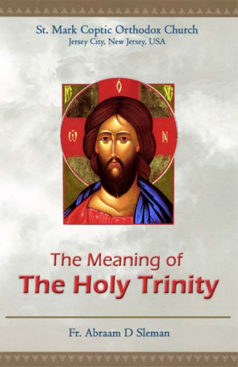### St. Mark Coptic Orthodox Church Jersey City, New Jersey, USA



# The Meaning of **The Holy Trinity**

Fr. Abraam D Sleman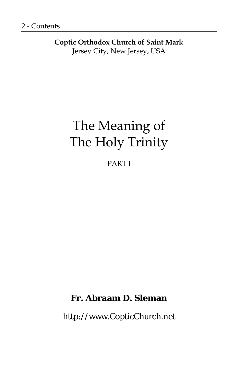**Coptic Orthodox Church of Saint Mark**  Jersey City, New Jersey, USA

# The Meaning of The Holy Trinity

PART I

#### **Fr. Abraam D. Sleman**

http://www.CopticChurch.net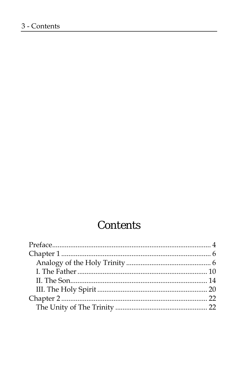# **Contents**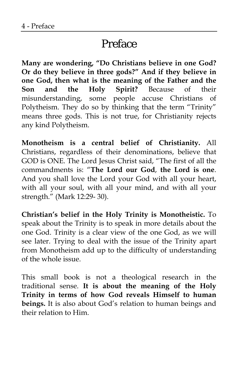## Preface

**Many are wondering, "Do Christians believe in one God? Or do they believe in three gods?" And if they believe in one God, then what is the meaning of the Father and the Son and the Holy Spirit?** Because of their misunderstanding, some people accuse Christians of Polytheism. They do so by thinking that the term "Trinity" means three gods. This is not true, for Christianity rejects any kind Polytheism.

**Monotheism is a central belief of Christianity.** All Christians, regardless of their denominations, believe that GOD is ONE. The Lord Jesus Christ said, "The first of all the commandments is: "**The Lord our God**, **the Lord is one**. And you shall love the Lord your God with all your heart, with all your soul, with all your mind, and with all your strength." (Mark 12:29- 30).

**Christian's belief in the Holy Trinity is Monotheistic.** To speak about the Trinity is to speak in more details about the one God. Trinity is a clear view of the one God, as we will see later. Trying to deal with the issue of the Trinity apart from Monotheism add up to the difficulty of understanding of the whole issue.

This small book is not a theological research in the traditional sense. **It is about the meaning of the Holy Trinity in terms of how God reveals Himself to human beings.** It is also about God's relation to human beings and their relation to Him.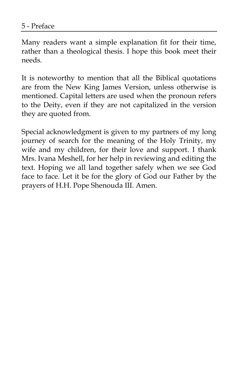Many readers want a simple explanation fit for their time, rather than a theological thesis. I hope this book meet their needs.

It is noteworthy to mention that all the Biblical quotations are from the New King James Version, unless otherwise is mentioned. Capital letters are used when the pronoun refers to the Deity, even if they are not capitalized in the version they are quoted from.

Special acknowledgment is given to my partners of my long journey of search for the meaning of the Holy Trinity, my wife and my children, for their love and support. I thank Mrs. Ivana Meshell, for her help in reviewing and editing the text. Hoping we all land together safely when we see God face to face. Let it be for the glory of God our Father by the prayers of H.H. Pope Shenouda III. Amen.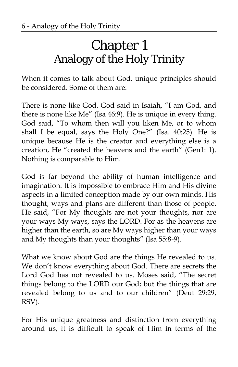# Chapter 1 Analogy of the Holy Trinity

When it comes to talk about God, unique principles should be considered. Some of them are:

There is none like God. God said in Isaiah, "I am God, and there is none like Me" (Isa 46:9). He is unique in every thing. God said, "To whom then will you liken Me, or to whom shall I be equal, says the Holy One?" (Isa. 40:25). He is unique because He is the creator and everything else is a creation, He "created the heavens and the earth" (Gen1: 1). Nothing is comparable to Him.

God is far beyond the ability of human intelligence and imagination. It is impossible to embrace Him and His divine aspects in a limited conception made by our own minds. His thought, ways and plans are different than those of people. He said, "For My thoughts are not your thoughts, nor are your ways My ways, says the LORD. For as the heavens are higher than the earth, so are My ways higher than your ways and My thoughts than your thoughts" (Isa 55:8-9).

What we know about God are the things He revealed to us. We don't know everything about God. There are secrets the Lord God has not revealed to us. Moses said, "The secret things belong to the LORD our God; but the things that are revealed belong to us and to our children" (Deut 29:29, RSV).

For His unique greatness and distinction from everything around us, it is difficult to speak of Him in terms of the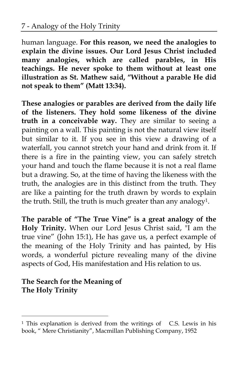human language. **For this reason, we need the analogies to explain the divine issues. Our Lord Jesus Christ included many analogies, which are called parables, in His teachings. He never spoke to them without at least one illustration as St. Mathew said, "Without a parable He did not speak to them" (Matt 13:34).** 

**These analogies or parables are derived from the daily life of the listeners. They hold some likeness of the divine truth in a conceivable way.** They are similar to seeing a painting on a wall. This painting is not the natural view itself but similar to it. If you see in this view a drawing of a waterfall, you cannot stretch your hand and drink from it. If there is a fire in the painting view, you can safely stretch your hand and touch the flame because it is not a real flame but a drawing. So, at the time of having the likeness with the truth, the analogies are in this distinct from the truth. They are like a painting for the truth drawn by words to explain the truth. Still, the truth is much greater than any analogy<sup>1</sup>.

**The parable of "The True Vine" is a great analogy of the Holy Trinity.** When our Lord Jesus Christ said, "I am the true vine" (John 15:1), He has gave us, a perfect example of the meaning of the Holy Trinity and has painted, by His words, a wonderful picture revealing many of the divine aspects of God, His manifestation and His relation to us.

#### **The Search for the Meaning of The Holy Trinity**

 $\overline{a}$ 

<sup>&</sup>lt;sup>1</sup> This explanation is derived from the writings of C.S. Lewis in his book, " Mere Christianity", Macmillan Publishing Company, 1952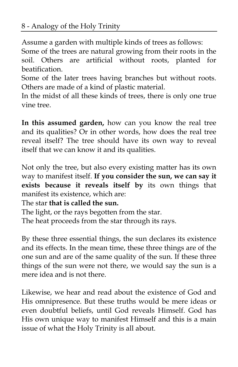Assume a garden with multiple kinds of trees as follows:

Some of the trees are natural growing from their roots in the soil. Others are artificial without roots, planted for beatification.

Some of the later trees having branches but without roots. Others are made of a kind of plastic material.

In the midst of all these kinds of trees, there is only one true vine tree.

**In this assumed garden,** how can you know the real tree and its qualities? Or in other words, how does the real tree reveal itself? The tree should have its own way to reveal itself that we can know it and its qualities.

Not only the tree, but also every existing matter has its own way to manifest itself. **If you consider the sun, we can say it exists because it reveals itself by** its own things that manifest its existence, which are:

The star **that is called the sun.** 

The light, or the rays begotten from the star. The heat proceeds from the star through its rays.

By these three essential things, the sun declares its existence and its effects. In the mean time, these three things are of the one sun and are of the same quality of the sun. If these three things of the sun were not there, we would say the sun is a mere idea and is not there.

Likewise, we hear and read about the existence of God and His omnipresence. But these truths would be mere ideas or even doubtful beliefs, until God reveals Himself. God has His own unique way to manifest Himself and this is a main issue of what the Holy Trinity is all about.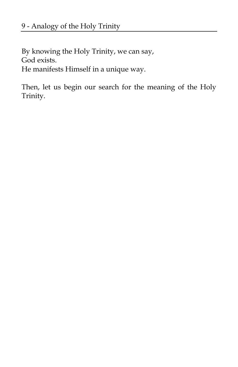By knowing the Holy Trinity, we can say, God exists. He manifests Himself in a unique way.

Then, let us begin our search for the meaning of the Holy Trinity.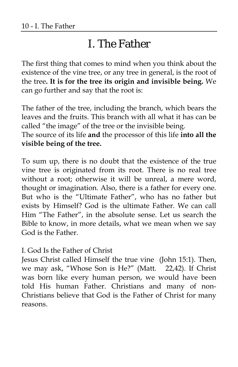# I. The Father

The first thing that comes to mind when you think about the existence of the vine tree, or any tree in general, is the root of the tree**. It is for the tree its origin and invisible being.** We can go further and say that the root is:

The father of the tree, including the branch, which bears the leaves and the fruits. This branch with all what it has can be called "the image" of the tree or the invisible being. The source of its life **and** the processor of this life **into all the** 

**visible being of the tree.** 

To sum up, there is no doubt that the existence of the true vine tree is originated from its root. There is no real tree without a root; otherwise it will be unreal, a mere word, thought or imagination. Also, there is a father for every one. But who is the "Ultimate Father", who has no father but exists by Himself? God is the ultimate Father. We can call Him "The Father", in the absolute sense. Let us search the Bible to know, in more details, what we mean when we say God is the Father.

I. God Is the Father of Christ

Jesus Christ called Himself the true vine (John 15:1). Then, we may ask, "Whose Son is He?" (Matt. 22,42). If Christ was born like every human person, we would have been told His human Father. Christians and many of non-Christians believe that God is the Father of Christ for many reasons.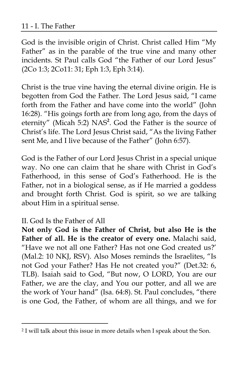God is the invisible origin of Christ. Christ called Him "My Father" as in the parable of the true vine and many other incidents. St Paul calls God "the Father of our Lord Jesus" (2Co 1:3; 2Co11: 31; Eph 1:3, Eph 3:14).

Christ is the true vine having the eternal divine origin. He is begotten from God the Father. The Lord Jesus said, "I came forth from the Father and have come into the world" (John 16:28). "His goings forth are from long ago, from the days of eternity" (Micah 5:2) NAS**<sup>2</sup>** . God the Father is the source of Christ's life. The Lord Jesus Christ said, "As the living Father sent Me, and I live because of the Father" (John 6:57).

God is the Father of our Lord Jesus Christ in a special unique way. No one can claim that he share with Christ in God's Fatherhood, in this sense of God's Fatherhood. He is the Father, not in a biological sense, as if He married a goddess and brought forth Christ. God is spirit, so we are talking about Him in a spiritual sense.

#### II. God Is the Father of All

 $\overline{a}$ 

**Not only God is the Father of Christ, but also He is the Father of all. He is the creator of every one.** Malachi said, "Have we not all one Father? Has not one God created us?' (Mal.2: 10 NKJ, RSV). Also Moses reminds the Israelites, "Is not God your Father? Has He not created you?" (Det.32: 6, TLB). Isaiah said to God, "But now, O LORD, You are our Father, we are the clay, and You our potter, and all we are the work of Your hand" (Isa. 64:8). St. Paul concludes, "there is one God, the Father, of whom are all things, and we for

<sup>2</sup> I will talk about this issue in more details when I speak about the Son.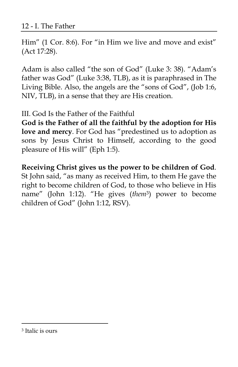Him" (1 Cor. 8:6). For "in Him we live and move and exist" (Act 17:28).

Adam is also called "the son of God" (Luke 3: 38). "Adam's father was God" (Luke 3:38, TLB), as it is paraphrased in The Living Bible. Also, the angels are the "sons of God", (Job 1:6, NIV, TLB), in a sense that they are His creation.

III. God Is the Father of the Faithful

**God is the Father of all the faithful by the adoption for His love and mercy**. For God has "predestined us to adoption as sons by Jesus Christ to Himself, according to the good pleasure of His will" (Eph 1:5).

**Receiving Christ gives us the power to be children of God**. St John said, "as many as received Him, to them He gave the right to become children of God, to those who believe in His name" (John 1:12). "He gives (*them*3) power to become children of God" (John 1:12, RSV).

-

<sup>3</sup> Italic is ours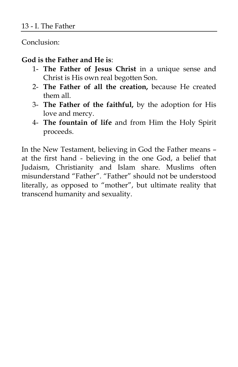Conclusion:

#### **God is the Father and He is**:

- 1- **The Father of Jesus Christ** in a unique sense and Christ is His own real begotten Son.
- 2- **The Father of all the creation,** because He created them all.
- 3- **The Father of the faithful,** by the adoption for His love and mercy.
- 4- **The fountain of life** and from Him the Holy Spirit proceeds.

In the New Testament, believing in God the Father means – at the first hand - believing in the one God, a belief that Judaism, Christianity and Islam share. Muslims often misunderstand "Father". "Father" should not be understood literally, as opposed to "mother", but ultimate reality that transcend humanity and sexuality.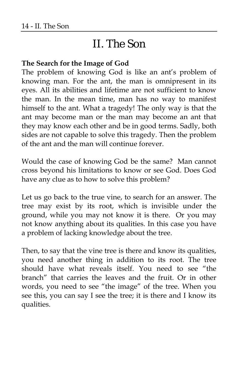# II. The Son

#### **The Search for the Image of God**

The problem of knowing God is like an ant's problem of knowing man. For the ant, the man is omnipresent in its eyes. All its abilities and lifetime are not sufficient to know the man. In the mean time, man has no way to manifest himself to the ant. What a tragedy! The only way is that the ant may become man or the man may become an ant that they may know each other and be in good terms. Sadly, both sides are not capable to solve this tragedy. Then the problem of the ant and the man will continue forever.

Would the case of knowing God be the same? Man cannot cross beyond his limitations to know or see God. Does God have any clue as to how to solve this problem?

Let us go back to the true vine, to search for an answer. The tree may exist by its root, which is invisible under the ground, while you may not know it is there. Or you may not know anything about its qualities. In this case you have a problem of lacking knowledge about the tree.

Then, to say that the vine tree is there and know its qualities, you need another thing in addition to its root. The tree should have what reveals itself. You need to see "the branch" that carries the leaves and the fruit. Or in other words, you need to see "the image" of the tree. When you see this, you can say I see the tree; it is there and I know its qualities.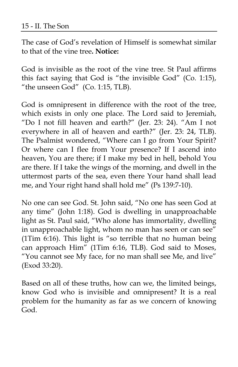The case of God's revelation of Himself is somewhat similar to that of the vine tree**. Notice:** 

God is invisible as the root of the vine tree. St Paul affirms this fact saying that God is "the invisible God" (Co. 1:15), "the unseen God" (Co. 1:15, TLB).

God is omnipresent in difference with the root of the tree, which exists in only one place. The Lord said to Jeremiah, "Do I not fill heaven and earth?" (Jer. 23: 24). "Am I not everywhere in all of heaven and earth?" (Jer. 23: 24, TLB). The Psalmist wondered, "Where can I go from Your Spirit? Or where can I flee from Your presence? If I ascend into heaven, You are there; if I make my bed in hell, behold You are there. If I take the wings of the morning, and dwell in the uttermost parts of the sea, even there Your hand shall lead me, and Your right hand shall hold me" (Ps 139:7-10).

No one can see God. St. John said, "No one has seen God at any time" (John 1:18). God is dwelling in unapproachable light as St. Paul said, "Who alone has immortality, dwelling in unapproachable light, whom no man has seen or can see" (1Tim 6:16). This light is "so terrible that no human being can approach Him" (1Tim 6:16, TLB). God said to Moses, "You cannot see My face, for no man shall see Me, and live" (Exod 33:20).

Based on all of these truths, how can we, the limited beings, know God who is invisible and omnipresent? It is a real problem for the humanity as far as we concern of knowing God.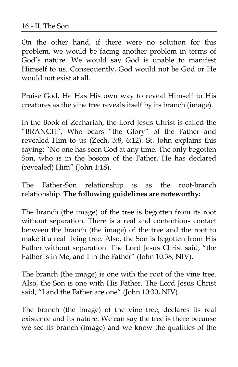On the other hand, if there were no solution for this problem, we would be facing another problem in terms of God's nature. We would say God is unable to manifest Himself to us. Consequently, God would not be God or He would not exist at all.

Praise God, He Has His own way to reveal Himself to His creatures as the vine tree reveals itself by its branch (image).

In the Book of Zechariah, the Lord Jesus Christ is called the "BRANCH", Who bears "the Glory" of the Father and revealed Him to us (Zech. 3:8, 6:12). St. John explains this saying; "No one has seen God at any time. The only begotten Son, who is in the bosom of the Father, He has declared (revealed) Him" (John 1:18).

The Father-Son relationship is as the root-branch relationship. **The following guidelines are noteworthy:** 

The branch (the image) of the tree is begotten from its root without separation. There is a real and contentious contact between the branch (the image) of the tree and the root to make it a real living tree. Also, the Son is begotten from His Father without separation. The Lord Jesus Christ said, "the Father is in Me, and I in the Father" (John 10:38, NIV).

The branch (the image) is one with the root of the vine tree. Also, the Son is one with His Father. The Lord Jesus Christ said, "I and the Father are one" (John 10:30, NIV).

The branch (the image) of the vine tree, declares its real existence and its nature. We can say the tree is there because we see its branch (image) and we know the qualities of the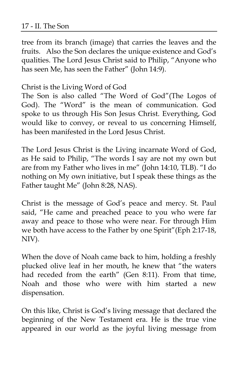#### 17 - II. The Son

tree from its branch (image) that carries the leaves and the fruits. Also the Son declares the unique existence and God's qualities. The Lord Jesus Christ said to Philip, "Anyone who has seen Me, has seen the Father" (John 14:9).

#### Christ is the Living Word of God

The Son is also called "The Word of God"(The Logos of God). The "Word" is the mean of communication. God spoke to us through His Son Jesus Christ. Everything, God would like to convey, or reveal to us concerning Himself, has been manifested in the Lord Jesus Christ.

The Lord Jesus Christ is the Living incarnate Word of God, as He said to Philip, "The words I say are not my own but are from my Father who lives in me" (John 14:10, TLB). "I do nothing on My own initiative, but I speak these things as the Father taught Me" (John 8:28, NAS).

Christ is the message of God's peace and mercy. St. Paul said, "He came and preached peace to you who were far away and peace to those who were near. For through Him we both have access to the Father by one Spirit"(Eph 2:17-18, NIV).

When the dove of Noah came back to him, holding a freshly plucked olive leaf in her mouth, he knew that "the waters had receded from the earth" (Gen 8:11). From that time, Noah and those who were with him started a new dispensation.

On this like, Christ is God's living message that declared the beginning of the New Testament era. He is the true vine appeared in our world as the joyful living message from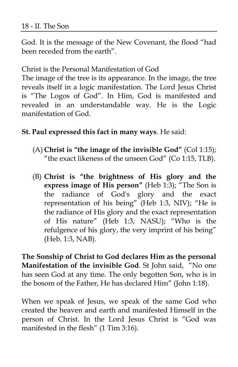God. It is the message of the New Covenant, the flood "had been receded from the earth".

Christ is the Personal Manifestation of God

The image of the tree is its appearance. In the image, the tree reveals itself in a logic manifestation. The Lord Jesus Christ is "The Logos of God". In Him, God is manifested and revealed in an understandable way. He is the Logic manifestation of God.

#### **St. Paul expressed this fact in many ways**. He said:

- (A) **Christ is "the image of the invisible God"** (Col 1:15); "the exact likeness of the unseen God" (Co 1:15, TLB).
- (B) **Christ is "the brightness of His glory and the express image of His person"** (Heb 1:3); "The Son is the radiance of God's glory and the exact representation of his being" (Heb 1:3, NIV); "He is the radiance of His glory and the exact representation of His nature" (Heb 1:3, NASU); "Who is the refulgence of his glory, the very imprint of his being" (Heb. 1:3, NAB).

**The Sonship of Christ to God declares Him as the personal Manifestation of the invisible God**. St John said, "No one has seen God at any time. The only begotten Son, who is in the bosom of the Father, He has declared Him" (John 1:18).

When we speak of Jesus, we speak of the same God who created the heaven and earth and manifested Himself in the person of Christ. In the Lord Jesus Christ is "God was manifested in the flesh" (1 Tim 3:16).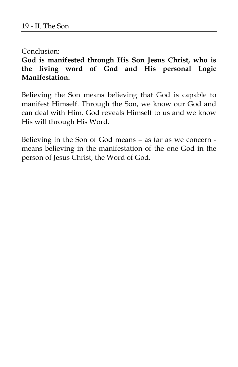Conclusion:

**God is manifested through His Son Jesus Christ, who is the living word of God and His personal Logic Manifestation.** 

Believing the Son means believing that God is capable to manifest Himself. Through the Son, we know our God and can deal with Him. God reveals Himself to us and we know His will through His Word.

Believing in the Son of God means – as far as we concern means believing in the manifestation of the one God in the person of Jesus Christ, the Word of God.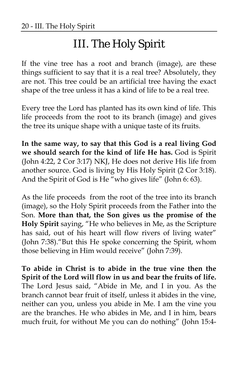# III. The Holy Spirit

If the vine tree has a root and branch (image), are these things sufficient to say that it is a real tree? Absolutely, they are not. This tree could be an artificial tree having the exact shape of the tree unless it has a kind of life to be a real tree.

Every tree the Lord has planted has its own kind of life. This life proceeds from the root to its branch (image) and gives the tree its unique shape with a unique taste of its fruits.

**In the same way, to say that this God is a real living God we should search for the kind of life He has.** God is Spirit (John 4:22, 2 Cor 3:17) NKJ, He does not derive His life from another source. God is living by His Holy Spirit (2 Cor 3:18). And the Spirit of God is He "who gives life" (John 6: 63).

As the life proceeds from the root of the tree into its branch (image), so the Holy Spirit proceeds from the Father into the Son. **More than that, the Son gives us the promise of the Holy Spirit** saying, "He who believes in Me, as the Scripture has said, out of his heart will flow rivers of living water" (John 7:38)."But this He spoke concerning the Spirit, whom those believing in Him would receive" (John 7:39).

**To abide in Christ is to abide in the true vine then the Spirit of the Lord will flow in us and bear the fruits of life.** The Lord Jesus said, "Abide in Me, and I in you. As the branch cannot bear fruit of itself, unless it abides in the vine, neither can you, unless you abide in Me. I am the vine you are the branches. He who abides in Me, and I in him, bears much fruit, for without Me you can do nothing" (John 15:4-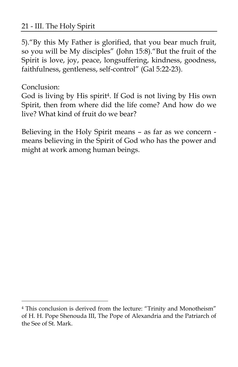#### 21 - III. The Holy Spirit

5)."By this My Father is glorified, that you bear much fruit, so you will be My disciples" (John 15:8)."But the fruit of the Spirit is love, joy, peace, longsuffering, kindness, goodness, faithfulness, gentleness, self-control" (Gal 5:22-23).

Conclusion:

 $\overline{a}$ 

God is living by His spirit4. If God is not living by His own Spirit, then from where did the life come? And how do we live? What kind of fruit do we bear?

Believing in the Holy Spirit means – as far as we concern means believing in the Spirit of God who has the power and might at work among human beings.

<sup>&</sup>lt;sup>4</sup> This conclusion is derived from the lecture: "Trinity and Monotheism" of H. H. Pope Shenouda III, The Pope of Alexandria and the Patriarch of the See of St. Mark.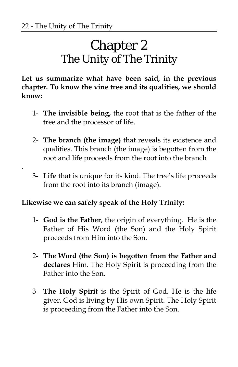.

# Chapter 2 The Unity of The Trinity

**Let us summarize what have been said, in the previous chapter. To know the vine tree and its qualities, we should know:** 

- 1- **The invisible being,** the root that is the father of the tree and the processor of life.
- 2- **The branch (the image)** that reveals its existence and qualities. This branch (the image) is begotten from the root and life proceeds from the root into the branch
- 3- **Life** that is unique for its kind. The tree's life proceeds from the root into its branch (image).

#### **Likewise we can safely speak of the Holy Trinity:**

- 1- **God is the Father**, the origin of everything. He is the Father of His Word (the Son) and the Holy Spirit proceeds from Him into the Son.
- 2- **The Word (the Son) is begotten from the Father and declares** Him. The Holy Spirit is proceeding from the Father into the Son.
- 3- **The Holy Spirit** is the Spirit of God. He is the life giver. God is living by His own Spirit. The Holy Spirit is proceeding from the Father into the Son.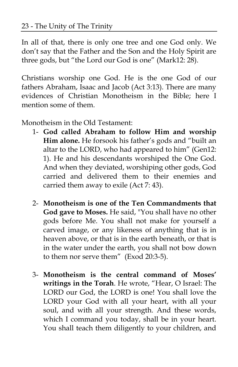In all of that, there is only one tree and one God only. We don't say that the Father and the Son and the Holy Spirit are three gods, but "the Lord our God is one" (Mark12: 28).

Christians worship one God. He is the one God of our fathers Abraham, Isaac and Jacob (Act 3:13). There are many evidences of Christian Monotheism in the Bible; here I mention some of them.

Monotheism in the Old Testament:

- 1- **God called Abraham to follow Him and worship Him alone.** He forsook his father's gods and "built an altar to the LORD, who had appeared to him" (Gen12: 1). He and his descendants worshiped the One God. And when they deviated, worshiping other gods, God carried and delivered them to their enemies and carried them away to exile (Act 7: 43).
- 2- **Monotheism is one of the Ten Commandments that God gave to Moses.** He said, "You shall have no other gods before Me. You shall not make for yourself a carved image, or any likeness of anything that is in heaven above, or that is in the earth beneath, or that is in the water under the earth, you shall not bow down to them nor serve them" (Exod 20:3-5).
- 3- **Monotheism is the central command of Moses' writings in the Torah**. He wrote, "Hear, O Israel: The LORD our God, the LORD is one! You shall love the LORD your God with all your heart, with all your soul, and with all your strength. And these words, which I command you today, shall be in your heart. You shall teach them diligently to your children, and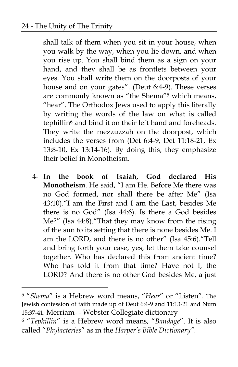-

shall talk of them when you sit in your house, when you walk by the way, when you lie down, and when you rise up. You shall bind them as a sign on your hand, and they shall be as frontlets between your eyes. You shall write them on the doorposts of your house and on your gates". (Deut 6:4-9). These verses are commonly known as "the Shema"5 which means, "hear". The Orthodox Jews used to apply this literally by writing the words of the law on what is called tephillin<sup>6</sup> and bind it on their left hand and foreheads. They write the mezzuzzah on the doorpost, which includes the verses from (Det 6:4-9, Det 11:18-21, Ex 13:8-10, Ex 13:14-16). By doing this, they emphasize their belief in Monotheism.

4- **In the book of Isaiah, God declared His Monotheism**. He said, "I am He. Before Me there was no God formed, nor shall there be after Me" (Isa 43:10)."I am the First and I am the Last, besides Me there is no God" (Isa 44:6). Is there a God besides Me?" (Isa 44:8)."That they may know from the rising of the sun to its setting that there is none besides Me. I am the LORD, and there is no other" (Isa 45:6)."Tell and bring forth your case, yes, let them take counsel together. Who has declared this from ancient time? Who has told it from that time? Have not I, the LORD? And there is no other God besides Me, a just

<sup>5 &</sup>quot;*Shema*" is a Hebrew word means, "*Hear*" or "Listen". The Jewish confession of faith made up of Deut 6:4-9 and 11:13-21 and Num 15:37-41. Merriam- - Webster Collegiate dictionary

<sup>6 &</sup>quot;*Tephillin*" is a Hebrew word means, "*Bandage*". It is also called "*Phylacteries*" as in the *Harper's Bible Dictionary".*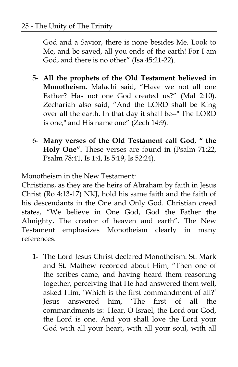God and a Savior, there is none besides Me. Look to Me, and be saved, all you ends of the earth! For I am God, and there is no other" (Isa 45:21-22).

- 5- **All the prophets of the Old Testament believed in Monotheism.** Malachi said, "Have we not all one Father? Has not one God created us?" (Mal 2:10). Zechariah also said, "And the LORD shall be King over all the earth. In that day it shall be--" The LORD is one," and His name one" (Zech 14:9).
- 6- **Many verses of the Old Testament call God, " the Holy One".** These verses are found in (Psalm 71:22, Psalm 78:41, Is 1:4, Is 5:19, Is 52:24).

Monotheism in the New Testament:

Christians, as they are the heirs of Abraham by faith in Jesus Christ (Ro 4:13-17) NKJ, hold his same faith and the faith of his descendants in the One and Only God. Christian creed states, "We believe in One God, God the Father the Almighty, The creator of heaven and earth". The New Testament emphasizes Monotheism clearly in many references.

**1-** The Lord Jesus Christ declared Monotheism. St. Mark and St. Mathew recorded about Him, "Then one of the scribes came, and having heard them reasoning together, perceiving that He had answered them well, asked Him, 'Which is the first commandment of all?' Jesus answered him, 'The first of all the commandments is: 'Hear, O Israel, the Lord our God, the Lord is one. And you shall love the Lord your God with all your heart, with all your soul, with all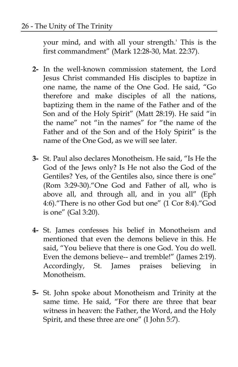your mind, and with all your strength.' This is the first commandment" (Mark 12:28-30, Mat. 22:37).

- **2-** In the well-known commission statement, the Lord Jesus Christ commanded His disciples to baptize in one name, the name of the One God. He said, "Go therefore and make disciples of all the nations, baptizing them in the name of the Father and of the Son and of the Holy Spirit" (Matt 28:19). He said "in the name" not "in the names" for "the name of the Father and of the Son and of the Holy Spirit" is the name of the One God, as we will see later.
- **3-** St. Paul also declares Monotheism. He said, "Is He the God of the Jews only? Is He not also the God of the Gentiles? Yes, of the Gentiles also, since there is one" (Rom 3:29-30)."One God and Father of all, who is above all, and through all, and in you all" (Eph 4:6)."There is no other God but one" (1 Cor 8:4)."God is one" (Gal 3:20).
- **4-** St. James confesses his belief in Monotheism and mentioned that even the demons believe in this. He said, "You believe that there is one God. You do well. Even the demons believe-- and tremble!" (James 2:19). Accordingly, St. James praises believing in Monotheism.
- **5-** St. John spoke about Monotheism and Trinity at the same time. He said, "For there are three that bear witness in heaven: the Father, the Word, and the Holy Spirit, and these three are one" (I John 5:7).